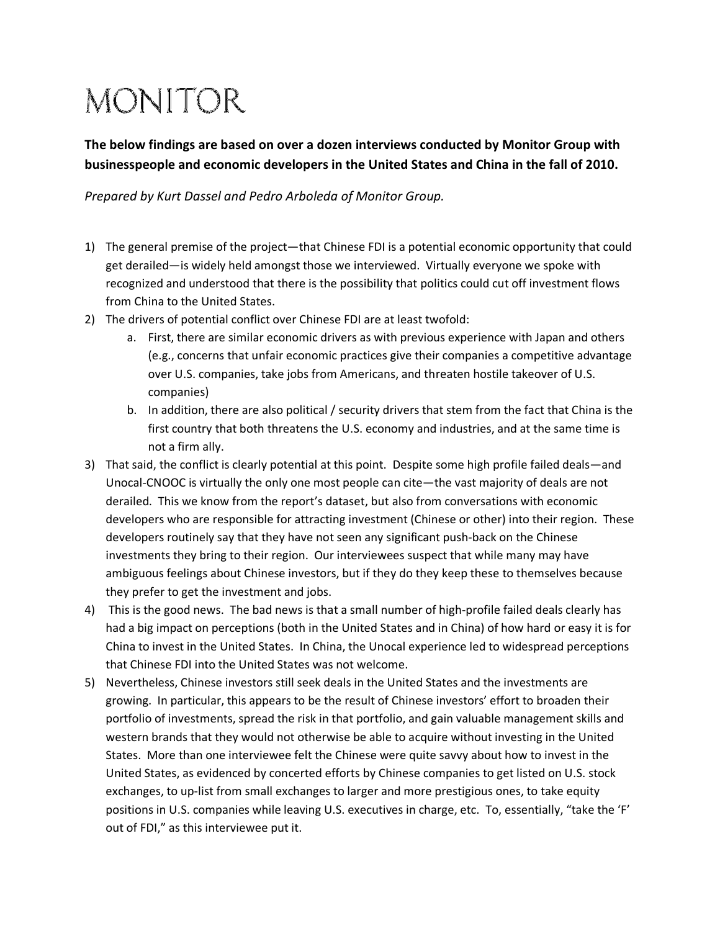## **MONITOR**

The below findings are based on over a dozen interviews conducted by Monitor Group with businesspeople and economic developers in the United States and China in the fall of 2010.

Prepared by Kurt Dassel and Pedro Arboleda of Monitor Group.

- 1) The general premise of the project—that Chinese FDI is a potential economic opportunity that could get derailed—is widely held amongst those we interviewed. Virtually everyone we spoke with recognized and understood that there is the possibility that politics could cut off investment flows from China to the United States.
- 2) The drivers of potential conflict over Chinese FDI are at least twofold:
	- a. First, there are similar economic drivers as with previous experience with Japan and others (e.g., concerns that unfair economic practices give their companies a competitive advantage over U.S. companies, take jobs from Americans, and threaten hostile takeover of U.S. companies)
	- b. In addition, there are also political / security drivers that stem from the fact that China is the first country that both threatens the U.S. economy and industries, and at the same time is not a firm ally.
- 3) That said, the conflict is clearly potential at this point. Despite some high profile failed deals—and Unocal-CNOOC is virtually the only one most people can cite—the vast majority of deals are not derailed. This we know from the report's dataset, but also from conversations with economic developers who are responsible for attracting investment (Chinese or other) into their region. These developers routinely say that they have not seen any significant push-back on the Chinese investments they bring to their region. Our interviewees suspect that while many may have ambiguous feelings about Chinese investors, but if they do they keep these to themselves because they prefer to get the investment and jobs.
- 4) This is the good news. The bad news is that a small number of high-profile failed deals clearly has had a big impact on perceptions (both in the United States and in China) of how hard or easy it is for China to invest in the United States. In China, the Unocal experience led to widespread perceptions that Chinese FDI into the United States was not welcome.
- 5) Nevertheless, Chinese investors still seek deals in the United States and the investments are growing. In particular, this appears to be the result of Chinese investors' effort to broaden their portfolio of investments, spread the risk in that portfolio, and gain valuable management skills and western brands that they would not otherwise be able to acquire without investing in the United States. More than one interviewee felt the Chinese were quite savvy about how to invest in the United States, as evidenced by concerted efforts by Chinese companies to get listed on U.S. stock exchanges, to up-list from small exchanges to larger and more prestigious ones, to take equity positions in U.S. companies while leaving U.S. executives in charge, etc. To, essentially, "take the 'F' out of FDI," as this interviewee put it.